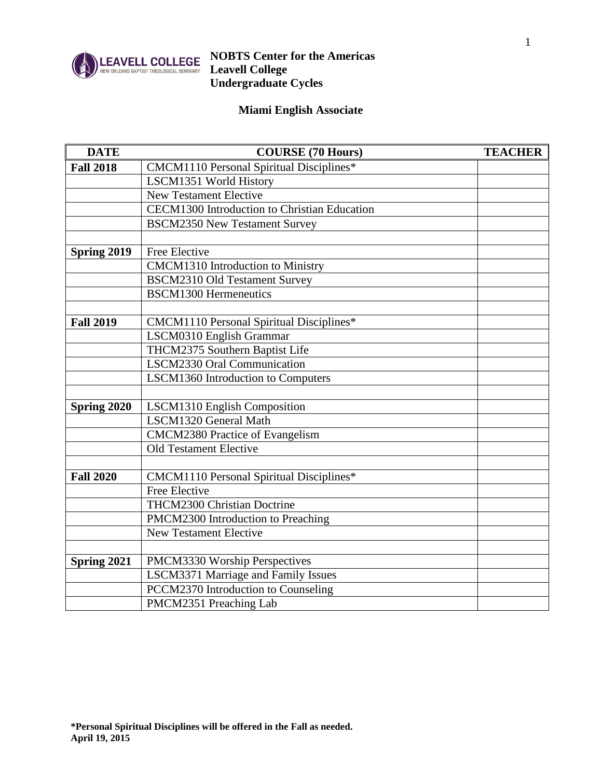

#### **NOBTS Center for the Americas Leavell College Undergraduate Cycles**

### **Miami English Associate**

| <b>DATE</b>      | <b>COURSE (70 Hours)</b>                     | <b>TEACHER</b> |
|------------------|----------------------------------------------|----------------|
| <b>Fall 2018</b> | CMCM1110 Personal Spiritual Disciplines*     |                |
|                  | LSCM1351 World History                       |                |
|                  | <b>New Testament Elective</b>                |                |
|                  | CECM1300 Introduction to Christian Education |                |
|                  | <b>BSCM2350 New Testament Survey</b>         |                |
|                  |                                              |                |
| Spring 2019      | Free Elective                                |                |
|                  | CMCM1310 Introduction to Ministry            |                |
|                  | <b>BSCM2310 Old Testament Survey</b>         |                |
|                  | <b>BSCM1300 Hermeneutics</b>                 |                |
|                  |                                              |                |
| <b>Fall 2019</b> | CMCM1110 Personal Spiritual Disciplines*     |                |
|                  | LSCM0310 English Grammar                     |                |
|                  | THCM2375 Southern Baptist Life               |                |
|                  | LSCM2330 Oral Communication                  |                |
|                  | LSCM1360 Introduction to Computers           |                |
|                  |                                              |                |
| Spring 2020      | LSCM1310 English Composition                 |                |
|                  | LSCM1320 General Math                        |                |
|                  | CMCM2380 Practice of Evangelism              |                |
|                  | <b>Old Testament Elective</b>                |                |
|                  |                                              |                |
| <b>Fall 2020</b> | CMCM1110 Personal Spiritual Disciplines*     |                |
|                  | <b>Free Elective</b>                         |                |
|                  | THCM2300 Christian Doctrine                  |                |
|                  | PMCM2300 Introduction to Preaching           |                |
|                  | <b>New Testament Elective</b>                |                |
|                  |                                              |                |
| Spring 2021      | PMCM3330 Worship Perspectives                |                |
|                  | <b>LSCM3371 Marriage and Family Issues</b>   |                |
|                  | PCCM2370 Introduction to Counseling          |                |
|                  | PMCM2351 Preaching Lab                       |                |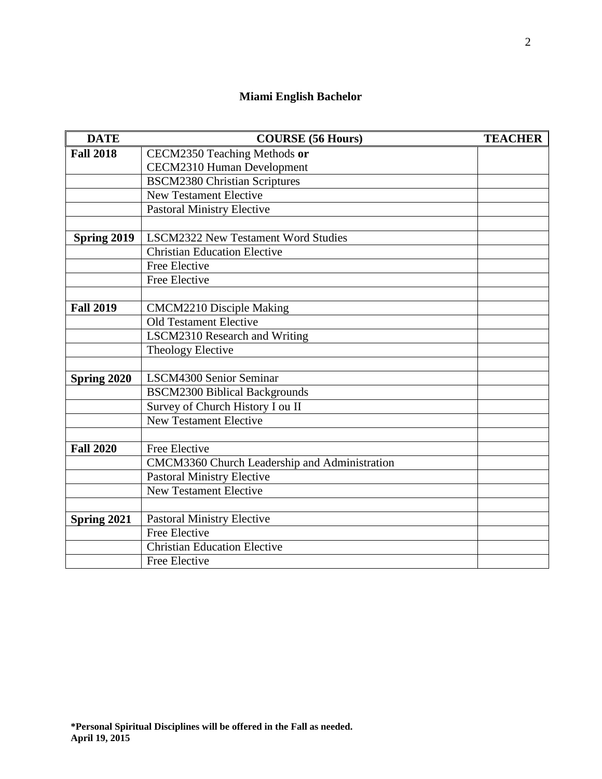#### **Miami English Bachelor**

| <b>DATE</b>      | <b>COURSE</b> (56 Hours)                      | <b>TEACHER</b> |
|------------------|-----------------------------------------------|----------------|
| <b>Fall 2018</b> | CECM2350 Teaching Methods or                  |                |
|                  | CECM2310 Human Development                    |                |
|                  | <b>BSCM2380 Christian Scriptures</b>          |                |
|                  | <b>New Testament Elective</b>                 |                |
|                  | <b>Pastoral Ministry Elective</b>             |                |
|                  |                                               |                |
| Spring 2019      | <b>LSCM2322 New Testament Word Studies</b>    |                |
|                  | <b>Christian Education Elective</b>           |                |
|                  | Free Elective                                 |                |
|                  | Free Elective                                 |                |
| <b>Fall 2019</b> | <b>CMCM2210 Disciple Making</b>               |                |
|                  | <b>Old Testament Elective</b>                 |                |
|                  | LSCM2310 Research and Writing                 |                |
|                  | Theology Elective                             |                |
|                  |                                               |                |
| Spring 2020      | LSCM4300 Senior Seminar                       |                |
|                  | <b>BSCM2300 Biblical Backgrounds</b>          |                |
|                  | Survey of Church History I ou II              |                |
|                  | <b>New Testament Elective</b>                 |                |
|                  |                                               |                |
| <b>Fall 2020</b> | Free Elective                                 |                |
|                  | CMCM3360 Church Leadership and Administration |                |
|                  | <b>Pastoral Ministry Elective</b>             |                |
|                  | <b>New Testament Elective</b>                 |                |
|                  |                                               |                |
| Spring 2021      | <b>Pastoral Ministry Elective</b>             |                |
|                  | <b>Free Elective</b>                          |                |
|                  | <b>Christian Education Elective</b>           |                |
|                  | Free Elective                                 |                |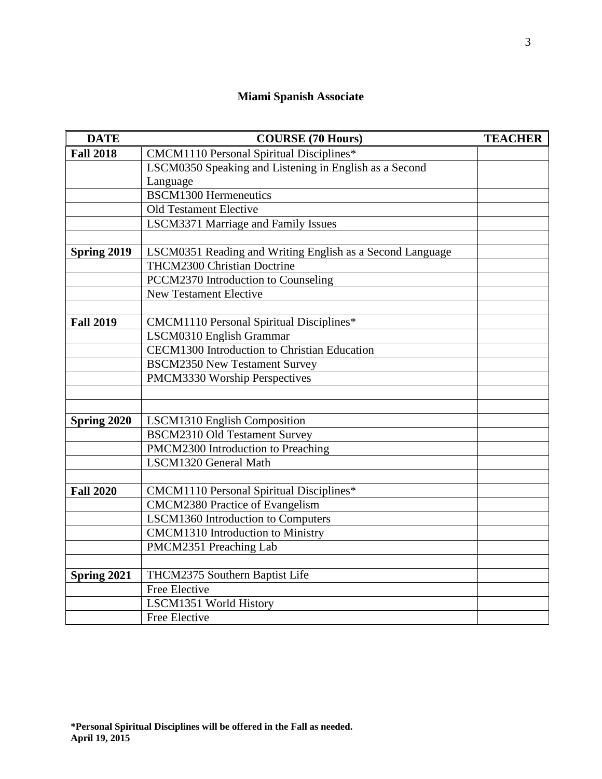#### **Miami Spanish Associate**

| <b>DATE</b>      | <b>COURSE (70 Hours)</b>                                  | <b>TEACHER</b> |
|------------------|-----------------------------------------------------------|----------------|
| <b>Fall 2018</b> | CMCM1110 Personal Spiritual Disciplines*                  |                |
|                  | LSCM0350 Speaking and Listening in English as a Second    |                |
|                  | Language                                                  |                |
|                  | <b>BSCM1300 Hermeneutics</b>                              |                |
|                  | <b>Old Testament Elective</b>                             |                |
|                  | LSCM3371 Marriage and Family Issues                       |                |
|                  |                                                           |                |
| Spring 2019      | LSCM0351 Reading and Writing English as a Second Language |                |
|                  | THCM2300 Christian Doctrine                               |                |
|                  | PCCM2370 Introduction to Counseling                       |                |
|                  | <b>New Testament Elective</b>                             |                |
|                  |                                                           |                |
| <b>Fall 2019</b> | CMCM1110 Personal Spiritual Disciplines*                  |                |
|                  | LSCM0310 English Grammar                                  |                |
|                  | CECM1300 Introduction to Christian Education              |                |
|                  | <b>BSCM2350 New Testament Survey</b>                      |                |
|                  | PMCM3330 Worship Perspectives                             |                |
|                  |                                                           |                |
|                  |                                                           |                |
| Spring 2020      | LSCM1310 English Composition                              |                |
|                  | <b>BSCM2310 Old Testament Survey</b>                      |                |
|                  | PMCM2300 Introduction to Preaching                        |                |
|                  | LSCM1320 General Math                                     |                |
| <b>Fall 2020</b> | CMCM1110 Personal Spiritual Disciplines*                  |                |
|                  | <b>CMCM2380 Practice of Evangelism</b>                    |                |
|                  | LSCM1360 Introduction to Computers                        |                |
|                  | <b>CMCM1310</b> Introduction to Ministry                  |                |
|                  | PMCM2351 Preaching Lab                                    |                |
|                  |                                                           |                |
| Spring 2021      | THCM2375 Southern Baptist Life                            |                |
|                  | Free Elective                                             |                |
|                  | LSCM1351 World History                                    |                |
|                  | Free Elective                                             |                |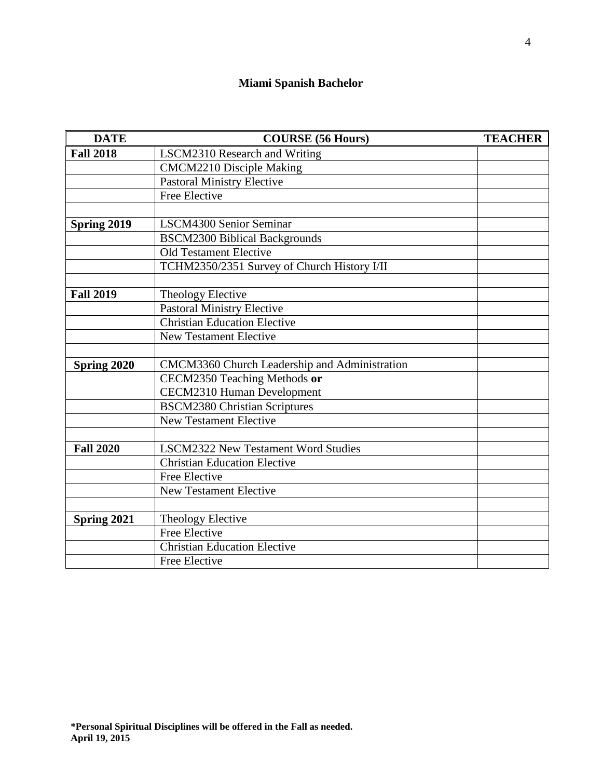# **Miami Spanish Bachelor**

| <b>DATE</b>      | <b>COURSE</b> (56 Hours)                      | <b>TEACHER</b> |
|------------------|-----------------------------------------------|----------------|
| <b>Fall 2018</b> | LSCM2310 Research and Writing                 |                |
|                  | <b>CMCM2210 Disciple Making</b>               |                |
|                  | <b>Pastoral Ministry Elective</b>             |                |
|                  | <b>Free Elective</b>                          |                |
|                  |                                               |                |
| Spring 2019      | LSCM4300 Senior Seminar                       |                |
|                  | <b>BSCM2300 Biblical Backgrounds</b>          |                |
|                  | <b>Old Testament Elective</b>                 |                |
|                  | TCHM2350/2351 Survey of Church History I/II   |                |
|                  |                                               |                |
| <b>Fall 2019</b> | Theology Elective                             |                |
|                  | <b>Pastoral Ministry Elective</b>             |                |
|                  | <b>Christian Education Elective</b>           |                |
|                  | <b>New Testament Elective</b>                 |                |
|                  |                                               |                |
| Spring 2020      | CMCM3360 Church Leadership and Administration |                |
|                  | CECM2350 Teaching Methods or                  |                |
|                  | <b>CECM2310 Human Development</b>             |                |
|                  | <b>BSCM2380 Christian Scriptures</b>          |                |
|                  | <b>New Testament Elective</b>                 |                |
|                  |                                               |                |
| <b>Fall 2020</b> | <b>LSCM2322 New Testament Word Studies</b>    |                |
|                  | <b>Christian Education Elective</b>           |                |
|                  | Free Elective                                 |                |
|                  | New Testament Elective                        |                |
|                  |                                               |                |
| Spring 2021      | <b>Theology Elective</b>                      |                |
|                  | Free Elective                                 |                |
|                  | <b>Christian Education Elective</b>           |                |
|                  | Free Elective                                 |                |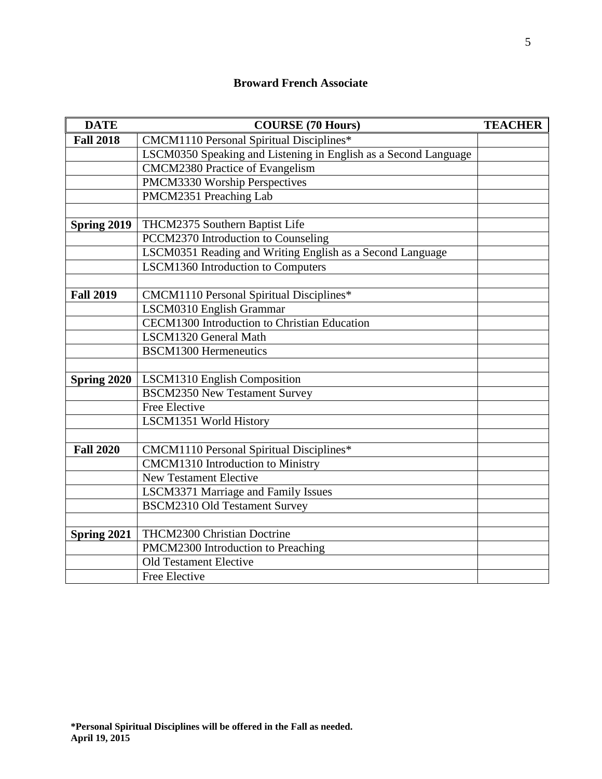## **Broward French Associate**

| <b>DATE</b>      | <b>COURSE (70 Hours)</b>                                        | <b>TEACHER</b> |
|------------------|-----------------------------------------------------------------|----------------|
| <b>Fall 2018</b> | CMCM1110 Personal Spiritual Disciplines*                        |                |
|                  | LSCM0350 Speaking and Listening in English as a Second Language |                |
|                  | <b>CMCM2380 Practice of Evangelism</b>                          |                |
|                  | PMCM3330 Worship Perspectives                                   |                |
|                  | PMCM2351 Preaching Lab                                          |                |
|                  |                                                                 |                |
| Spring 2019      | THCM2375 Southern Baptist Life                                  |                |
|                  | PCCM2370 Introduction to Counseling                             |                |
|                  | LSCM0351 Reading and Writing English as a Second Language       |                |
|                  | LSCM1360 Introduction to Computers                              |                |
|                  |                                                                 |                |
| <b>Fall 2019</b> | CMCM1110 Personal Spiritual Disciplines*                        |                |
|                  | LSCM0310 English Grammar                                        |                |
|                  | <b>CECM1300</b> Introduction to Christian Education             |                |
|                  | LSCM1320 General Math                                           |                |
|                  | <b>BSCM1300 Hermeneutics</b>                                    |                |
|                  |                                                                 |                |
| Spring 2020      | LSCM1310 English Composition                                    |                |
|                  | <b>BSCM2350 New Testament Survey</b>                            |                |
|                  | <b>Free Elective</b>                                            |                |
|                  | LSCM1351 World History                                          |                |
|                  |                                                                 |                |
| <b>Fall 2020</b> | CMCM1110 Personal Spiritual Disciplines*                        |                |
|                  | <b>CMCM1310</b> Introduction to Ministry                        |                |
|                  | <b>New Testament Elective</b>                                   |                |
|                  | <b>LSCM3371 Marriage and Family Issues</b>                      |                |
|                  | <b>BSCM2310 Old Testament Survey</b>                            |                |
|                  |                                                                 |                |
| Spring 2021      | THCM2300 Christian Doctrine                                     |                |
|                  | PMCM2300 Introduction to Preaching                              |                |
|                  | <b>Old Testament Elective</b>                                   |                |
|                  | Free Elective                                                   |                |

5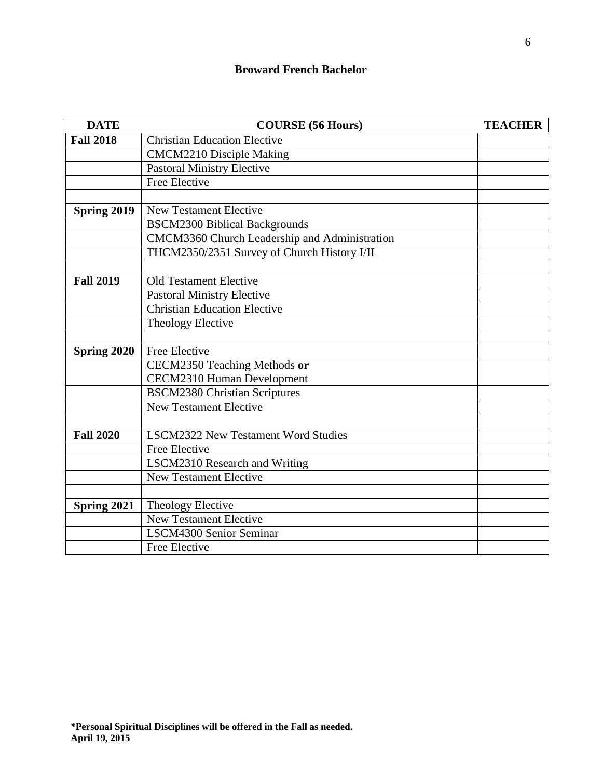| <b>DATE</b>      | <b>COURSE (56 Hours)</b>                      | <b>TEACHER</b> |
|------------------|-----------------------------------------------|----------------|
| <b>Fall 2018</b> | <b>Christian Education Elective</b>           |                |
|                  | <b>CMCM2210 Disciple Making</b>               |                |
|                  | <b>Pastoral Ministry Elective</b>             |                |
|                  | Free Elective                                 |                |
|                  |                                               |                |
| Spring 2019      | <b>New Testament Elective</b>                 |                |
|                  | <b>BSCM2300 Biblical Backgrounds</b>          |                |
|                  | CMCM3360 Church Leadership and Administration |                |
|                  | THCM2350/2351 Survey of Church History I/II   |                |
|                  |                                               |                |
| <b>Fall 2019</b> | <b>Old Testament Elective</b>                 |                |
|                  | <b>Pastoral Ministry Elective</b>             |                |
|                  | <b>Christian Education Elective</b>           |                |
|                  | Theology Elective                             |                |
|                  |                                               |                |
| Spring 2020      | Free Elective                                 |                |
|                  | CECM2350 Teaching Methods or                  |                |
|                  | CECM2310 Human Development                    |                |
|                  | <b>BSCM2380 Christian Scriptures</b>          |                |
|                  | <b>New Testament Elective</b>                 |                |
|                  |                                               |                |
| <b>Fall 2020</b> | <b>LSCM2322 New Testament Word Studies</b>    |                |
|                  | Free Elective                                 |                |
|                  | LSCM2310 Research and Writing                 |                |
|                  | <b>New Testament Elective</b>                 |                |
|                  |                                               |                |
| Spring 2021      | Theology Elective                             |                |
|                  | <b>New Testament Elective</b>                 |                |
|                  | LSCM4300 Senior Seminar                       |                |
|                  | Free Elective                                 |                |

6